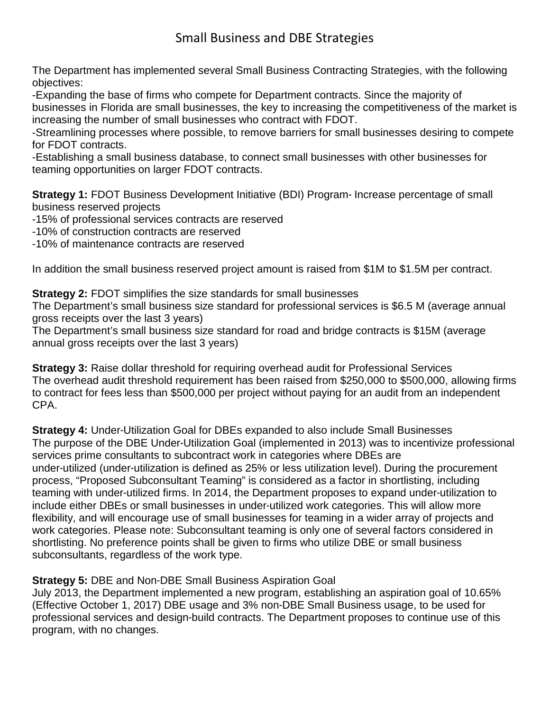## Small Business and DBE Strategies

The Department has implemented several Small Business Contracting Strategies, with the following objectives:

-Expanding the base of firms who compete for Department contracts. Since the majority of businesses in Florida are small businesses, the key to increasing the competitiveness of the market is increasing the number of small businesses who contract with FDOT.

-Streamlining processes where possible, to remove barriers for small businesses desiring to compete for FDOT contracts.

-Establishing a small business database, to connect small businesses with other businesses for teaming opportunities on larger FDOT contracts.

**Strategy 1:** FDOT Business Development Initiative (BDI) Program- Increase percentage of small business reserved projects

-15% of professional services contracts are reserved

-10% of construction contracts are reserved

-10% of maintenance contracts are reserved

In addition the small business reserved project amount is raised from \$1M to \$1.5M per contract.

**Strategy 2:** FDOT simplifies the size standards for small businesses

The Department's small business size standard for professional services is \$6.5 M (average annual gross receipts over the last 3 years)

The Department's small business size standard for road and bridge contracts is \$15M (average annual gross receipts over the last 3 years)

**Strategy 3:** Raise dollar threshold for requiring overhead audit for Professional Services The overhead audit threshold requirement has been raised from \$250,000 to \$500,000, allowing firms to contract for fees less than \$500,000 per project without paying for an audit from an independent CPA.

**Strategy 4:** Under-Utilization Goal for DBEs expanded to also include Small Businesses The purpose of the DBE Under-Utilization Goal (implemented in 2013) was to incentivize professional services prime consultants to subcontract work in categories where DBEs are under-utilized (under-utilization is defined as 25% or less utilization level). During the procurement process, "Proposed Subconsultant Teaming" is considered as a factor in shortlisting, including teaming with under-utilized firms. In 2014, the Department proposes to expand under-utilization to include either DBEs or small businesses in under-utilized work categories. This will allow more flexibility, and will encourage use of small businesses for teaming in a wider array of projects and work categories. Please note: Subconsultant teaming is only one of several factors considered in shortlisting. No preference points shall be given to firms who utilize DBE or small business subconsultants, regardless of the work type.

## **Strategy 5:** DBE and Non-DBE Small Business Aspiration Goal

July 2013, the Department implemented a new program, establishing an aspiration goal of 10.65% (Effective October 1, 2017) DBE usage and 3% non-DBE Small Business usage, to be used for professional services and design-build contracts. The Department proposes to continue use of this program, with no changes.